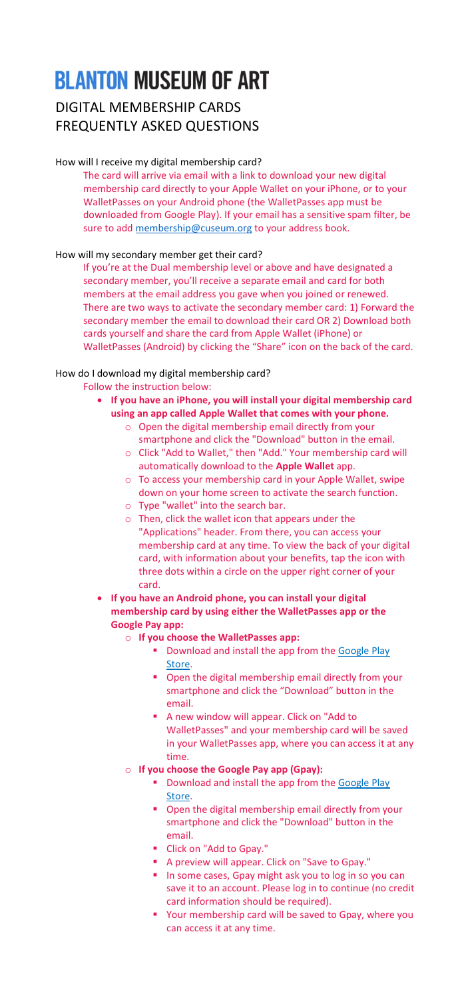# **BLANTON MUSEUM OF ART**

# DIGITAL MEMBERSHIP CARDS FREQUENTLY ASKED QUESTIONS

The card will arrive via email with a link to download your new digital membership card directly to your Apple Wallet on your iPhone, or to your WalletPasses on your Android phone (the WalletPasses app must be downloaded from Google Play). If your email has a sensitive spam filter, be sure to add [membership@cuseum.org](mailto:membership@cuseum.org) to your address book.

## How will I receive my digital membership card?

### How will my secondary member get their card?

If you're at the Dual membership level or above and have designated a secondary member, you'll receive a separate email and card for both members at the email address you gave when you joined or renewed. There are two ways to activate the secondary member card: 1) Forward the secondary member the email to download their card OR 2) Download both cards yourself and share the card from Apple Wallet (iPhone) or WalletPasses (Android) by clicking the "Share" icon on the back of the card.

### How do I download my digital membership card?

Follow the instruction below:

- **If you have an iPhone, you will install your digital membership card using an app called Apple Wallet that comes with your phone.**
	- o Open the digital membership email directly from your smartphone and click the "Download" button in the email.
	- o Click "Add to Wallet," then "Add." Your membership card will automatically download to the **Apple Wallet** app.
	- o To access your membership card in your Apple Wallet, swipe down on your home screen to activate the search function.
	- o Type "wallet" into the search bar.
	- o Then, click the wallet icon that appears under the "Applications" header. From there, you can access your membership card at any time. To view the back of your digital card, with information about your benefits, tap the icon with three dots within a circle on the upper right corner of your card.
- **If you have an Android phone, you can install your digital membership card by using either the WalletPasses app or the Google Pay app:**
	- o **If you choose the WalletPasses app:**
		- Download and install the app from the Google Play [Store.](https://nam12.safelinks.protection.outlook.com/?url=https%3A%2F%2Fmandrillapp.com%2Ftrack%2Fclick%2F30997027%2Fplay.google.com%3Fp%3DeyJzIjoiTGM0OXpvaUw1eTYzR1drN2dOYzNBTjRHU2pZIiwidiI6MSwicCI6IntcInVcIjozMDk5NzAyNyxcInZcIjoxLFwidXJsXCI6XCJodHRwczpcXFwvXFxcL3BsYXkuZ29vZ2xlLmNvbVxcXC9zdG9yZVxcXC9hcHBzXFxcL2RldGFpbHM_aWQ9aW8ud2FsbGV0cGFzc2VzLmFuZHJvaWQmaGw9ZW4mZ2w9VVNcIixcImlkXCI6XCI0ZTc3MzY5NDJmZGQ0MjFiODczN2Q1NmFkN2I4MGZiZFwiLFwidXJsX2lkc1wiOltcImFkYTJjMWJmM2VlZjAwMjQ3MDNiMmI1N2YyY2YyNzdhNTYwMjJiNTVcIl19In0&data=05%7C01%7C%7C3ccc68ad2d604a44ad1f08da440a1eed%7C31d7e2a5bdd8414e9e97bea998ebdfe1%7C0%7C0%7C637897107512814534%7CUnknown%7CTWFpbGZsb3d8eyJWIjoiMC4wLjAwMDAiLCJQIjoiV2luMzIiLCJBTiI6Ik1haWwiLCJXVCI6Mn0%3D%7C3000%7C%7C%7C&sdata=pXkasQyqbO4nzfZ11bjoGnSR8cDMnyhb8f4%2FZFx5muk%3D&reserved=0)
		- Open the digital membership email directly from your smartphone and click the "Download" button in the email.
		- A new window will appear. Click on "Add to WalletPasses" and your membership card will be saved in your WalletPasses app, where you can access it at any time.
	- o **If you choose the Google Pay app (Gpay):**
		- **Download and install the app from the Google Play** [Store.](https://nam12.safelinks.protection.outlook.com/?url=https%3A%2F%2Fmandrillapp.com%2Ftrack%2Fclick%2F30997027%2Fplay.google.com%3Fp%3DeyJzIjoiQjc1cXJ5dVg5emUtM2RTSW9fN2R5MjBpNFBZIiwidiI6MSwicCI6IntcInVcIjozMDk5NzAyNyxcInZcIjoxLFwidXJsXCI6XCJodHRwczpcXFwvXFxcL3BsYXkuZ29vZ2xlLmNvbVxcXC9zdG9yZVxcXC9hcHBzXFxcL2RldGFpbHM_aWQ9Y29tLmdvb2dsZS5hbmRyb2lkLmFwcHMubmJ1LnBhaXNhLnVzZXJcIixcImlkXCI6XCI0ZTc3MzY5NDJmZGQ0MjFiODczN2Q1NmFkN2I4MGZiZFwiLFwidXJsX2lkc1wiOltcImFkYTJjMWJmM2VlZjAwMjQ3MDNiMmI1N2YyY2YyNzdhNTYwMjJiNTVcIl19In0&data=05%7C01%7C%7C3ccc68ad2d604a44ad1f08da440a1eed%7C31d7e2a5bdd8414e9e97bea998ebdfe1%7C0%7C0%7C637897107512814534%7CUnknown%7CTWFpbGZsb3d8eyJWIjoiMC4wLjAwMDAiLCJQIjoiV2luMzIiLCJBTiI6Ik1haWwiLCJXVCI6Mn0%3D%7C3000%7C%7C%7C&sdata=W4s8T0Zm1Aj7m89sYKio1Fm6QYp24Q3f9kj8avTzHLc%3D&reserved=0)
		- Open the digital membership email directly from your smartphone and click the "Download" button in the email.
		- Click on "Add to Gpay."
		- A preview will appear. Click on "Save to Gpay."
		- In some cases, Gpay might ask you to log in so you can save it to an account. Please log in to continue (no credit card information should be required).
		- Your membership card will be saved to Gpay, where you can access it at any time.